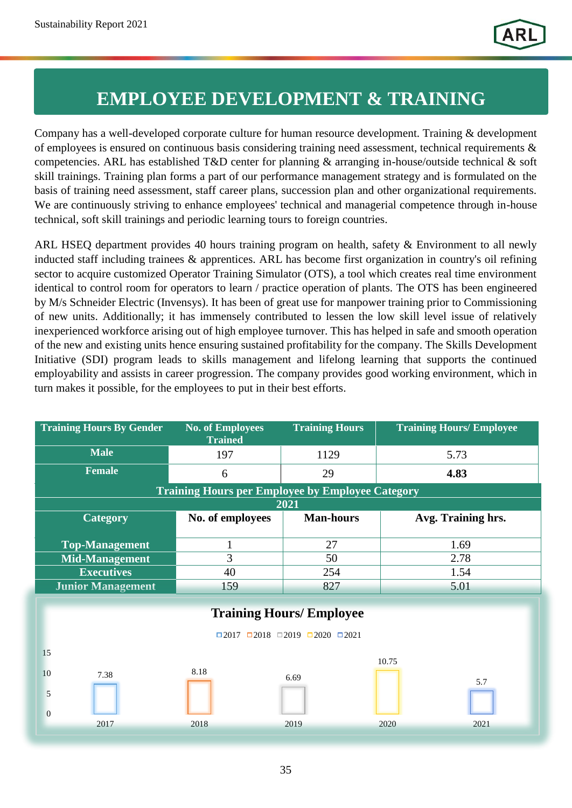## **EMPLOYEE DEVELOPMENT & TRAINING**

Company has a well-developed corporate culture for human resource development. Training & development of employees is ensured on continuous basis considering training need assessment, technical requirements & competencies. ARL has established T&D center for planning & arranging in-house/outside technical & soft skill trainings. Training plan forms a part of our performance management strategy and is formulated on the basis of training need assessment, staff career plans, succession plan and other organizational requirements. We are continuously striving to enhance employees' technical and managerial competence through in-house technical, soft skill trainings and periodic learning tours to foreign countries.

ARL HSEQ department provides 40 hours training program on health, safety & Environment to all newly inducted staff including trainees & apprentices. ARL has become first organization in country's oil refining sector to acquire customized Operator Training Simulator (OTS), a tool which creates real time environment identical to control room for operators to learn / practice operation of plants. The OTS has been engineered by M/s Schneider Electric (Invensys). It has been of great use for manpower training prior to Commissioning of new units. Additionally; it has immensely contributed to lessen the low skill level issue of relatively inexperienced workforce arising out of high employee turnover. This has helped in safe and smooth operation of the new and existing units hence ensuring sustained profitability for the company. The Skills Development Initiative (SDI) program leads to skills management and lifelong learning that supports the continued employability and assists in career progression. The company provides good working environment, which in turn makes it possible, for the employees to put in their best efforts.

| <b>Training Hours By Gender</b>                             | <b>No. of Employees</b><br><b>Trained</b> | <b>Training Hours</b> | <b>Training Hours/ Employee</b> |
|-------------------------------------------------------------|-------------------------------------------|-----------------------|---------------------------------|
| <b>Male</b>                                                 | 197                                       | 1129                  | 5.73                            |
| <b>Female</b>                                               | 6                                         | 29                    | 4.83                            |
| <b>Training Hours per Employee by Employee Category</b>     |                                           |                       |                                 |
| 2021                                                        |                                           |                       |                                 |
| <b>Category</b>                                             | No. of employees                          | <b>Man-hours</b>      | Avg. Training hrs.              |
| <b>Top-Management</b>                                       | 1                                         | 27                    | 1.69                            |
| <b>Mid-Management</b>                                       | 3                                         | 50                    | 2.78                            |
| <b>Executives</b>                                           | 40                                        | 254                   | 1.54                            |
| <b>Junior Management</b>                                    | 159                                       | 827                   | 5.01                            |
|                                                             |                                           |                       |                                 |
| <b>Training Hours/ Employee</b>                             |                                           |                       |                                 |
| $\Box 2017$ $\Box 2018$ $\Box 2019$ $\Box 2020$ $\Box 2021$ |                                           |                       |                                 |
| 15                                                          |                                           |                       | 10.75                           |
| 10<br>7.38                                                  | 8.18                                      | 6.69                  |                                 |
| 5                                                           |                                           |                       | 5.7                             |
| $\mathbf{0}$                                                |                                           |                       |                                 |
| 2017                                                        | 2018                                      | 2019                  | 2020<br>2021                    |